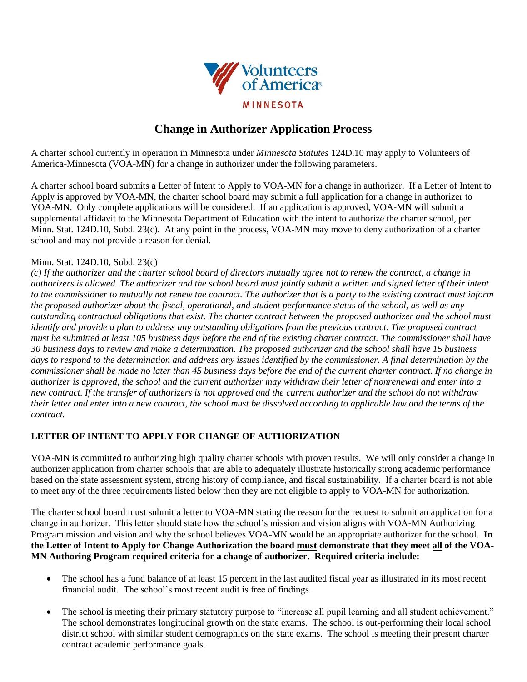

# **Change in Authorizer Application Process**

A charter school currently in operation in Minnesota under *Minnesota Statutes* 124D.10 may apply to Volunteers of America-Minnesota (VOA-MN) for a change in authorizer under the following parameters.

A charter school board submits a Letter of Intent to Apply to VOA-MN for a change in authorizer. If a Letter of Intent to Apply is approved by VOA-MN, the charter school board may submit a full application for a change in authorizer to VOA-MN. Only complete applications will be considered. If an application is approved, VOA-MN will submit a supplemental affidavit to the Minnesota Department of Education with the intent to authorize the charter school, per Minn. Stat. 124D.10, Subd. 23(c). At any point in the process, VOA-MN may move to deny authorization of a charter school and may not provide a reason for denial.

#### Minn. Stat. 124D.10, Subd. 23(c)

*(c) If the authorizer and the charter school board of directors mutually agree not to renew the contract, a change in authorizers is allowed. The authorizer and the school board must jointly submit a written and signed letter of their intent to the commissioner to mutually not renew the contract. The authorizer that is a party to the existing contract must inform the proposed authorizer about the fiscal, operational, and student performance status of the school, as well as any outstanding contractual obligations that exist. The charter contract between the proposed authorizer and the school must identify and provide a plan to address any outstanding obligations from the previous contract. The proposed contract must be submitted at least 105 business days before the end of the existing charter contract. The commissioner shall have 30 business days to review and make a determination. The proposed authorizer and the school shall have 15 business days to respond to the determination and address any issues identified by the commissioner. A final determination by the commissioner shall be made no later than 45 business days before the end of the current charter contract. If no change in authorizer is approved, the school and the current authorizer may withdraw their letter of nonrenewal and enter into a new contract. If the transfer of authorizers is not approved and the current authorizer and the school do not withdraw their letter and enter into a new contract, the school must be dissolved according to applicable law and the terms of the contract.*

### **LETTER OF INTENT TO APPLY FOR CHANGE OF AUTHORIZATION**

VOA-MN is committed to authorizing high quality charter schools with proven results. We will only consider a change in authorizer application from charter schools that are able to adequately illustrate historically strong academic performance based on the state assessment system, strong history of compliance, and fiscal sustainability. If a charter board is not able to meet any of the three requirements listed below then they are not eligible to apply to VOA-MN for authorization.

The charter school board must submit a letter to VOA-MN stating the reason for the request to submit an application for a change in authorizer. This letter should state how the school's mission and vision aligns with VOA-MN Authorizing Program mission and vision and why the school believes VOA-MN would be an appropriate authorizer for the school. **In the Letter of Intent to Apply for Change Authorization the board must demonstrate that they meet all of the VOA-MN Authoring Program required criteria for a change of authorizer. Required criteria include:** 

- The school has a fund balance of at least 15 percent in the last audited fiscal year as illustrated in its most recent financial audit. The school's most recent audit is free of findings.
- The school is meeting their primary statutory purpose to "increase all pupil learning and all student achievement." The school demonstrates longitudinal growth on the state exams. The school is out-performing their local school district school with similar student demographics on the state exams. The school is meeting their present charter contract academic performance goals.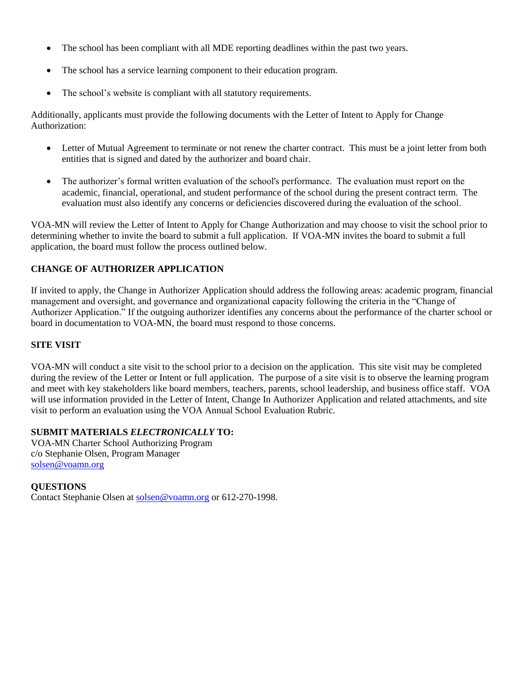- The school has been compliant with all MDE reporting deadlines within the past two years.
- The school has a service learning component to their education program.
- The school's website is compliant with all statutory requirements.

Additionally, applicants must provide the following documents with the Letter of Intent to Apply for Change Authorization:

- Letter of Mutual Agreement to terminate or not renew the charter contract. This must be a joint letter from both entities that is signed and dated by the authorizer and board chair.
- The authorizer's formal written evaluation of the school's performance. The evaluation must report on the academic, financial, operational, and student performance of the school during the present contract term. The evaluation must also identify any concerns or deficiencies discovered during the evaluation of the school.

VOA-MN will review the Letter of Intent to Apply for Change Authorization and may choose to visit the school prior to determining whether to invite the board to submit a full application. If VOA-MN invites the board to submit a full application, the board must follow the process outlined below.

### **CHANGE OF AUTHORIZER APPLICATION**

If invited to apply, the Change in Authorizer Application should address the following areas: academic program, financial management and oversight, and governance and organizational capacity following the criteria in the "Change of Authorizer Application." If the outgoing authorizer identifies any concerns about the performance of the charter school or board in documentation to VOA-MN, the board must respond to those concerns.

#### **SITE VISIT**

VOA-MN will conduct a site visit to the school prior to a decision on the application. This site visit may be completed during the review of the Letter or Intent or full application. The purpose of a site visit is to observe the learning program and meet with key stakeholders like board members, teachers, parents, school leadership, and business office staff. VOA will use information provided in the Letter of Intent, Change In Authorizer Application and related attachments, and site visit to perform an evaluation using the VOA Annual School Evaluation Rubric.

### **SUBMIT MATERIALS** *ELECTRONICALLY* **TO:**

VOA-MN Charter School Authorizing Program c/o Stephanie Olsen, Program Manager [solsen@voamn.org](mailto:solsen@voamn.org)

### **QUESTIONS**

Contact Stephanie Olsen at [solsen@voamn.org](mailto:solsen@voamn.org) or 612-270-1998.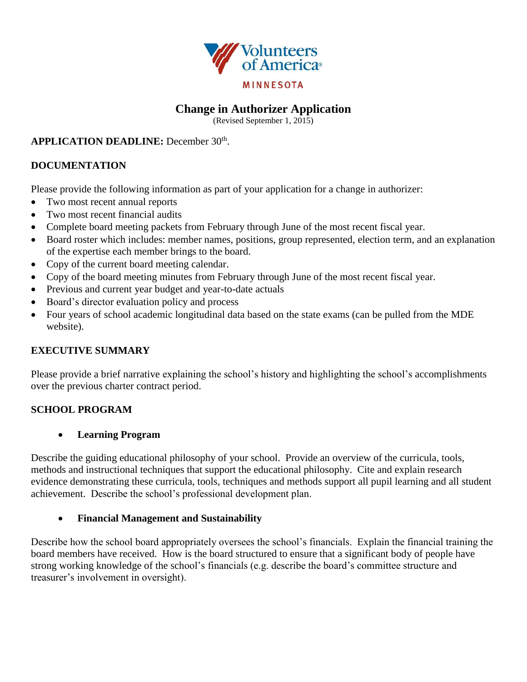

# **Change in Authorizer Application**

(Revised September 1, 2015)

### **APPLICATION DEADLINE:** December 30<sup>th</sup>.

## **DOCUMENTATION**

Please provide the following information as part of your application for a change in authorizer:

- Two most recent annual reports
- Two most recent financial audits
- Complete board meeting packets from February through June of the most recent fiscal year.
- Board roster which includes: member names, positions, group represented, election term, and an explanation of the expertise each member brings to the board.
- Copy of the current board meeting calendar.
- Copy of the board meeting minutes from February through June of the most recent fiscal year.
- Previous and current year budget and year-to-date actuals
- Board's director evaluation policy and process
- Four years of school academic longitudinal data based on the state exams (can be pulled from the MDE website).

## **EXECUTIVE SUMMARY**

Please provide a brief narrative explaining the school's history and highlighting the school's accomplishments over the previous charter contract period.

## **SCHOOL PROGRAM**

### **Learning Program**

Describe the guiding educational philosophy of your school. Provide an overview of the curricula, tools, methods and instructional techniques that support the educational philosophy. Cite and explain research evidence demonstrating these curricula, tools, techniques and methods support all pupil learning and all student achievement. Describe the school's professional development plan.

### **Financial Management and Sustainability**

Describe how the school board appropriately oversees the school's financials. Explain the financial training the board members have received. How is the board structured to ensure that a significant body of people have strong working knowledge of the school's financials (e.g. describe the board's committee structure and treasurer's involvement in oversight).